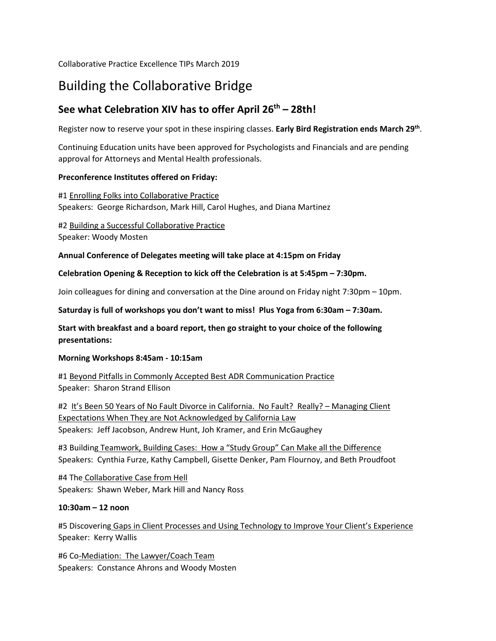Collaborative Practice Excellence TIPs March 2019

# Building the Collaborative Bridge

# **See what Celebration XIV has to offer April 26th – 28th!**

Register now to reserve your spot in these inspiring classes. **Early Bird Registration ends March 29th**.

Continuing Education units have been approved for Psychologists and Financials and are pending approval for Attorneys and Mental Health professionals.

# **Preconference Institutes offered on Friday:**

#1 Enrolling Folks into Collaborative Practice Speakers: George Richardson, Mark Hill, Carol Hughes, and Diana Martinez

#2 Building a Successful Collaborative Practice Speaker: Woody Mosten

# **Annual Conference of Delegates meeting will take place at 4:15pm on Friday**

# **Celebration Opening & Reception to kick off the Celebration is at 5:45pm – 7:30pm.**

Join colleagues for dining and conversation at the Dine around on Friday night 7:30pm – 10pm.

**Saturday is full of workshops you don't want to miss! Plus Yoga from 6:30am – 7:30am.**

**Start with breakfast and a board report, then go straight to your choice of the following presentations:**

#### **Morning Workshops 8:45am - 10:15am**

#1 Beyond Pitfalls in Commonly Accepted Best ADR Communication Practice Speaker: Sharon Strand Ellison

#2 It's Been 50 Years of No Fault Divorce in California. No Fault? Really? – Managing Client Expectations When They are Not Acknowledged by California Law Speakers: Jeff Jacobson, Andrew Hunt, Joh Kramer, and Erin McGaughey

#3 Building Teamwork, Building Cases: How a "Study Group" Can Make all the Difference Speakers: Cynthia Furze, Kathy Campbell, Gisette Denker, Pam Flournoy, and Beth Proudfoot

#4 The Collaborative Case from Hell Speakers: Shawn Weber, Mark Hill and Nancy Ross

#### **10:30am – 12 noon**

#5 Discovering Gaps in Client Processes and Using Technology to Improve Your Client's Experience Speaker: Kerry Wallis

#6 Co-Mediation: The Lawyer/Coach Team Speakers: Constance Ahrons and Woody Mosten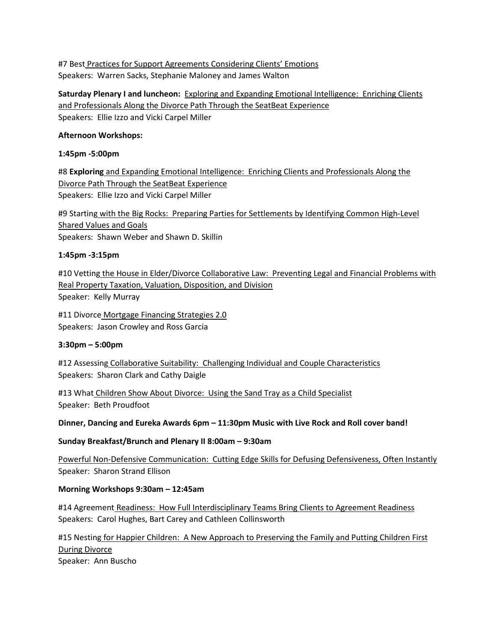#7 Best Practices for Support Agreements Considering Clients' Emotions Speakers: Warren Sacks, Stephanie Maloney and James Walton

**Saturday Plenary I and luncheon:** Exploring and Expanding Emotional Intelligence: Enriching Clients and Professionals Along the Divorce Path Through the SeatBeat Experience Speakers: Ellie Izzo and Vicki Carpel Miller

#### **Afternoon Workshops:**

#### **1:45pm -5:00pm**

#8 **Exploring** and Expanding Emotional Intelligence: Enriching Clients and Professionals Along the Divorce Path Through the SeatBeat Experience Speakers: Ellie Izzo and Vicki Carpel Miller

#9 Starting with the Big Rocks: Preparing Parties for Settlements by Identifying Common High-Level Shared Values and Goals Speakers: Shawn Weber and Shawn D. Skillin

#### **1:45pm -3:15pm**

#10 Vetting the House in Elder/Divorce Collaborative Law: Preventing Legal and Financial Problems with Real Property Taxation, Valuation, Disposition, and Division Speaker: Kelly Murray

#11 Divorce Mortgage Financing Strategies 2.0 Speakers: Jason Crowley and Ross Garcia

#### **3:30pm – 5:00pm**

#12 Assessing Collaborative Suitability: Challenging Individual and Couple Characteristics Speakers: Sharon Clark and Cathy Daigle

#13 What Children Show About Divorce: Using the Sand Tray as a Child Specialist Speaker: Beth Proudfoot

**Dinner, Dancing and Eureka Awards 6pm – 11:30pm Music with Live Rock and Roll cover band!** 

#### **Sunday Breakfast/Brunch and Plenary II 8:00am – 9:30am**

Powerful Non-Defensive Communication: Cutting Edge Skills for Defusing Defensiveness, Often Instantly Speaker: Sharon Strand Ellison

#### **Morning Workshops 9:30am – 12:45am**

#14 Agreement Readiness: How Full Interdisciplinary Teams Bring Clients to Agreement Readiness Speakers: Carol Hughes, Bart Carey and Cathleen Collinsworth

#15 Nesting for Happier Children: A New Approach to Preserving the Family and Putting Children First During Divorce Speaker: Ann Buscho